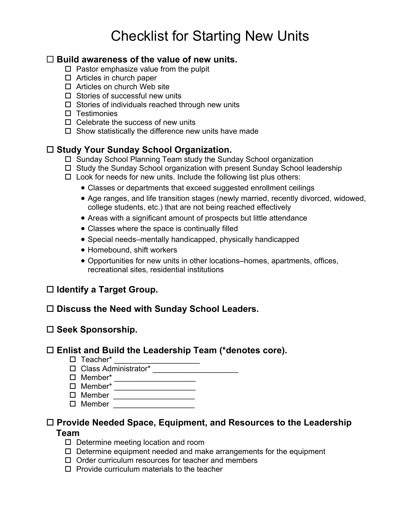# Checklist for Starting New Units

# **Build awareness of the value of new units.**

- $\square$  Pastor emphasize value from the pulpit
- $\Box$  Articles in church paper
- $\Box$  Articles on church Web site
- $\square$  Stories of successful new units
- $\Box$  Stories of individuals reached through new units
- $\square$  Testimonies
- $\Pi$  Celebrate the success of new units
- $\Box$  Show statistically the difference new units have made

# **Study Your Sunday School Organization.**

- $\Box$  Sunday School Planning Team study the Sunday School organization
- $\Box$  Study the Sunday School organization with present Sunday School leadership
- $\square$  Look for needs for new units. Include the following list plus others:
	- Classes or departments that exceed suggested enrollment ceilings
	- Age ranges, and life transition stages (newly married, recently divorced, widowed, college students, etc.) that are not being reached effectively
	- Areas with a significant amount of prospects but little attendance
	- Classes where the space is continually filled
	- Special needs–mentally handicapped, physically handicapped
	- Homebound, shift workers
	- Opportunities for new units in other locations–homes, apartments, offices, recreational sites, residential institutions

# **Identify a Target Group.**

# **Discuss the Need with Sunday School Leaders.**

### **Seek Sponsorship.**

# **Enlist and Build the Leadership Team (\*denotes core).**

- □ Teacher\* \_\_\_\_\_\_\_\_\_\_\_\_\_\_\_\_\_\_\_\_\_\_
- □ Class Administrator\* \_\_\_\_\_\_\_\_\_\_\_\_\_\_\_\_\_\_\_\_\_\_\_\_
- □ Member\* \_\_\_\_\_\_\_\_\_\_\_\_\_\_\_\_\_\_\_\_\_\_
- □ Member\* \_\_\_\_\_\_\_\_\_\_\_\_\_\_\_\_\_\_\_\_\_\_
- Member \_\_\_\_\_\_\_\_\_\_\_\_\_\_\_\_\_\_\_
- Member \_\_\_\_\_\_\_\_\_\_\_\_\_\_\_\_\_\_\_

#### **Provide Needed Space, Equipment, and Resources to the Leadership Team**

- $\square$  Determine meeting location and room
- $\Box$  Determine equipment needed and make arrangements for the equipment
- $\Box$  Order curriculum resources for teacher and members
- $\square$  Provide curriculum materials to the teacher